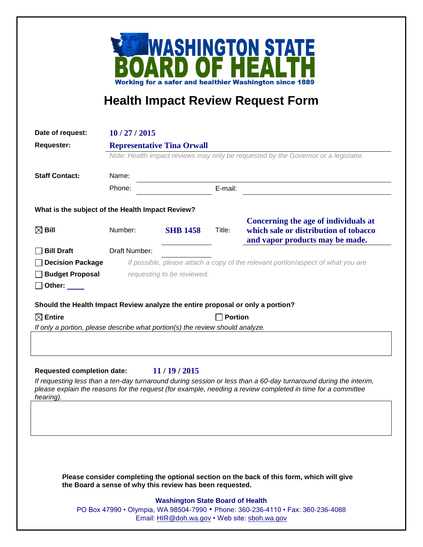

## **Health Impact Review Request Form**

| Date of request:                                                               | 10/27/2015                                                                                                              |                 |         |                                                                                                                                                                                                                                 |
|--------------------------------------------------------------------------------|-------------------------------------------------------------------------------------------------------------------------|-----------------|---------|---------------------------------------------------------------------------------------------------------------------------------------------------------------------------------------------------------------------------------|
| <b>Requester:</b>                                                              | <b>Representative Tina Orwall</b><br>Note: Health impact reviews may only be requested by the Governor or a legislator. |                 |         |                                                                                                                                                                                                                                 |
|                                                                                |                                                                                                                         |                 |         |                                                                                                                                                                                                                                 |
| <b>Staff Contact:</b>                                                          | Name:                                                                                                                   |                 |         |                                                                                                                                                                                                                                 |
|                                                                                | Phone:                                                                                                                  |                 | E-mail: |                                                                                                                                                                                                                                 |
| What is the subject of the Health Impact Review?                               |                                                                                                                         |                 |         |                                                                                                                                                                                                                                 |
| $\boxtimes$ Bill                                                               | Number:                                                                                                                 | <b>SHB 1458</b> | Title:  | Concerning the age of individuals at<br>which sale or distribution of tobacco<br>and vapor products may be made.                                                                                                                |
| <b>Bill Draft</b>                                                              | Draft Number:                                                                                                           |                 |         |                                                                                                                                                                                                                                 |
| <b>Decision Package</b>                                                        |                                                                                                                         |                 |         | If possible, please attach a copy of the relevant portion/aspect of what you are                                                                                                                                                |
| <b>Budget Proposal</b>                                                         | requesting to be reviewed.                                                                                              |                 |         |                                                                                                                                                                                                                                 |
| $\Box$ Other: $\_\_$                                                           |                                                                                                                         |                 |         |                                                                                                                                                                                                                                 |
| Should the Health Impact Review analyze the entire proposal or only a portion? |                                                                                                                         |                 |         |                                                                                                                                                                                                                                 |
| $\boxtimes$ Entire                                                             |                                                                                                                         |                 |         | <b>Portion</b>                                                                                                                                                                                                                  |
| If only a portion, please describe what portion(s) the review should analyze.  |                                                                                                                         |                 |         |                                                                                                                                                                                                                                 |
|                                                                                |                                                                                                                         |                 |         |                                                                                                                                                                                                                                 |
|                                                                                |                                                                                                                         |                 |         |                                                                                                                                                                                                                                 |
| <b>Requested completion date:</b>                                              |                                                                                                                         | 11/19/2015      |         |                                                                                                                                                                                                                                 |
| hearing).                                                                      |                                                                                                                         |                 |         | If requesting less than a ten-day turnaround during session or less than a 60-day turnaround during the interim,<br>please explain the reasons for the request (for example, needing a review completed in time for a committee |
|                                                                                |                                                                                                                         |                 |         |                                                                                                                                                                                                                                 |

**Please consider completing the optional section on the back of this form, which will give the Board a sense of why this review has been requested.**

## **Washington State Board of Health**

PO Box 47990 • Olympia, WA 98504-7990 • Phone: 360-236-4110 • Fax: 360-236-4088 Email: [HIR@doh.wa.gov](mailto:HIR@doh.wa.gov) • Web site: [sboh.wa.gov](http://www.sboh.wa.gov/hdcouncil/)